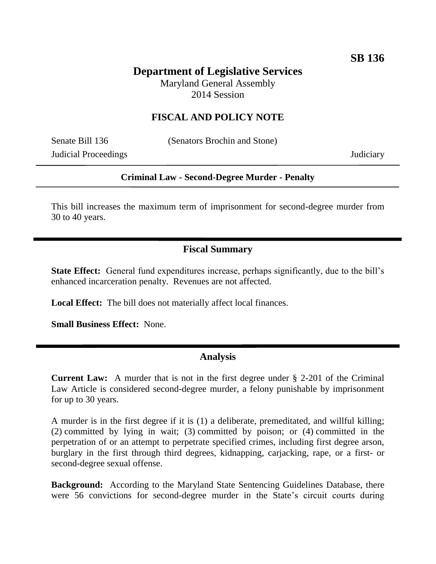# **Department of Legislative Services**

Maryland General Assembly 2014 Session

# **FISCAL AND POLICY NOTE**

Judicial Proceedings Judiciary

Senate Bill 136 (Senators Brochin and Stone)

### **Criminal Law - Second-Degree Murder - Penalty**

This bill increases the maximum term of imprisonment for second-degree murder from 30 to 40 years.

### **Fiscal Summary**

**State Effect:** General fund expenditures increase, perhaps significantly, due to the bill's enhanced incarceration penalty. Revenues are not affected.

**Local Effect:** The bill does not materially affect local finances.

**Small Business Effect:** None.

#### **Analysis**

**Current Law:** A murder that is not in the first degree under § 2-201 of the Criminal Law Article is considered second-degree murder, a felony punishable by imprisonment for up to 30 years.

A murder is in the first degree if it is (1) a deliberate, premeditated, and willful killing; (2) committed by lying in wait; (3) committed by poison; or (4) committed in the perpetration of or an attempt to perpetrate specified crimes, including first degree arson, burglary in the first through third degrees, kidnapping, carjacking, rape, or a first- or second-degree sexual offense.

**Background:** According to the Maryland State Sentencing Guidelines Database, there were 56 convictions for second-degree murder in the State's circuit courts during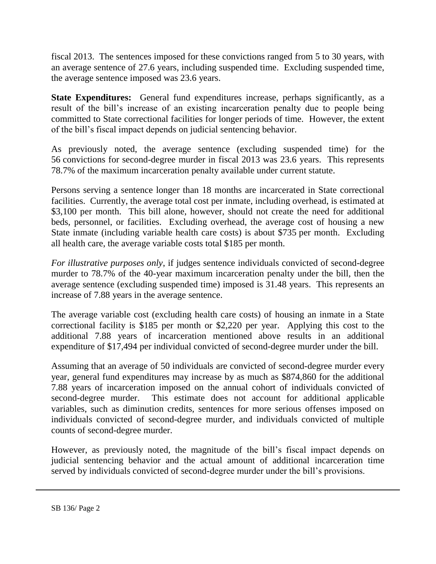fiscal 2013. The sentences imposed for these convictions ranged from 5 to 30 years, with an average sentence of 27.6 years, including suspended time. Excluding suspended time, the average sentence imposed was 23.6 years.

**State Expenditures:** General fund expenditures increase, perhaps significantly, as a result of the bill's increase of an existing incarceration penalty due to people being committed to State correctional facilities for longer periods of time. However, the extent of the bill's fiscal impact depends on judicial sentencing behavior.

As previously noted, the average sentence (excluding suspended time) for the 56 convictions for second-degree murder in fiscal 2013 was 23.6 years. This represents 78.7% of the maximum incarceration penalty available under current statute.

Persons serving a sentence longer than 18 months are incarcerated in State correctional facilities. Currently, the average total cost per inmate, including overhead, is estimated at \$3,100 per month. This bill alone, however, should not create the need for additional beds, personnel, or facilities. Excluding overhead, the average cost of housing a new State inmate (including variable health care costs) is about \$735 per month. Excluding all health care, the average variable costs total \$185 per month.

*For illustrative purposes only*, if judges sentence individuals convicted of second-degree murder to 78.7% of the 40-year maximum incarceration penalty under the bill, then the average sentence (excluding suspended time) imposed is 31.48 years. This represents an increase of 7.88 years in the average sentence.

The average variable cost (excluding health care costs) of housing an inmate in a State correctional facility is \$185 per month or \$2,220 per year. Applying this cost to the additional 7.88 years of incarceration mentioned above results in an additional expenditure of \$17,494 per individual convicted of second-degree murder under the bill.

Assuming that an average of 50 individuals are convicted of second-degree murder every year, general fund expenditures may increase by as much as \$874,860 for the additional 7.88 years of incarceration imposed on the annual cohort of individuals convicted of second-degree murder. This estimate does not account for additional applicable variables, such as diminution credits, sentences for more serious offenses imposed on individuals convicted of second-degree murder, and individuals convicted of multiple counts of second-degree murder.

However, as previously noted, the magnitude of the bill's fiscal impact depends on judicial sentencing behavior and the actual amount of additional incarceration time served by individuals convicted of second-degree murder under the bill's provisions.